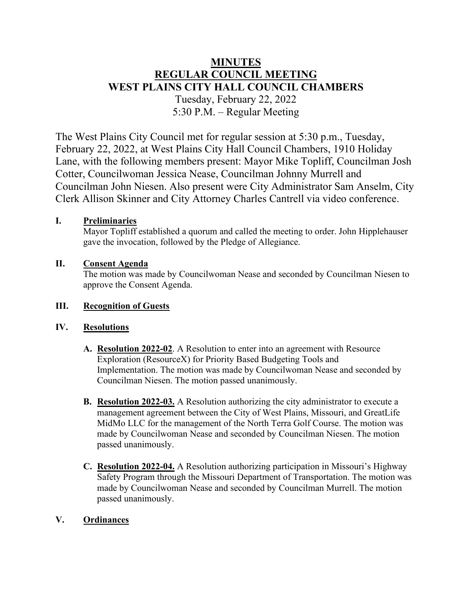# **MINUTES REGULAR COUNCIL MEETING WEST PLAINS CITY HALL COUNCIL CHAMBERS** Tuesday, February 22, 2022 5:30 P.M. – Regular Meeting

The West Plains City Council met for regular session at 5:30 p.m., Tuesday, February 22, 2022, at West Plains City Hall Council Chambers, 1910 Holiday Lane, with the following members present: Mayor Mike Topliff, Councilman Josh Cotter, Councilwoman Jessica Nease, Councilman Johnny Murrell and Councilman John Niesen. Also present were City Administrator Sam Anselm, City Clerk Allison Skinner and City Attorney Charles Cantrell via video conference.

## **I. Preliminaries**

Mayor Topliff established a quorum and called the meeting to order. John Hipplehauser gave the invocation, followed by the Pledge of Allegiance.

## **II. Consent Agenda**

The motion was made by Councilwoman Nease and seconded by Councilman Niesen to approve the Consent Agenda.

## **III. Recognition of Guests**

## **IV. Resolutions**

- **A. Resolution 2022-02**. A Resolution to enter into an agreement with Resource Exploration (ResourceX) for Priority Based Budgeting Tools and Implementation. The motion was made by Councilwoman Nease and seconded by Councilman Niesen. The motion passed unanimously.
- **B. Resolution 2022-03.** A Resolution authorizing the city administrator to execute a management agreement between the City of West Plains, Missouri, and GreatLife MidMo LLC for the management of the North Terra Golf Course. The motion was made by Councilwoman Nease and seconded by Councilman Niesen. The motion passed unanimously.
- **C. Resolution 2022-04.** A Resolution authorizing participation in Missouri's Highway Safety Program through the Missouri Department of Transportation. The motion was made by Councilwoman Nease and seconded by Councilman Murrell. The motion passed unanimously.

## **V. Ordinances**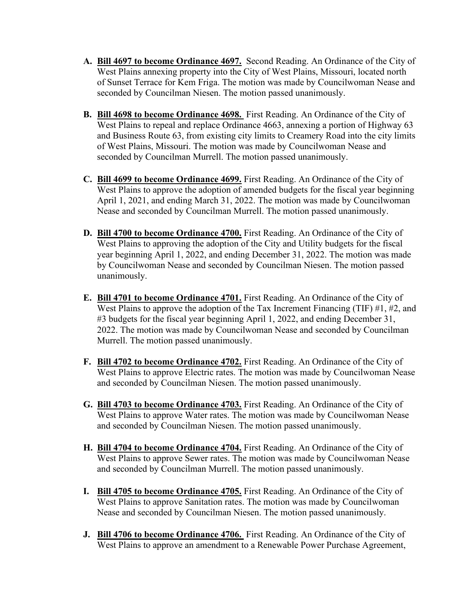- **A. Bill 4697 to become Ordinance 4697.** Second Reading. An Ordinance of the City of West Plains annexing property into the City of West Plains, Missouri, located north of Sunset Terrace for Kem Friga. The motion was made by Councilwoman Nease and seconded by Councilman Niesen. The motion passed unanimously.
- **B. Bill 4698 to become Ordinance 4698.** First Reading. An Ordinance of the City of West Plains to repeal and replace Ordinance 4663, annexing a portion of Highway 63 and Business Route 63, from existing city limits to Creamery Road into the city limits of West Plains, Missouri. The motion was made by Councilwoman Nease and seconded by Councilman Murrell. The motion passed unanimously.
- **C. Bill 4699 to become Ordinance 4699.** First Reading. An Ordinance of the City of West Plains to approve the adoption of amended budgets for the fiscal year beginning April 1, 2021, and ending March 31, 2022. The motion was made by Councilwoman Nease and seconded by Councilman Murrell. The motion passed unanimously.
- **D. Bill 4700 to become Ordinance 4700.** First Reading. An Ordinance of the City of West Plains to approving the adoption of the City and Utility budgets for the fiscal year beginning April 1, 2022, and ending December 31, 2022. The motion was made by Councilwoman Nease and seconded by Councilman Niesen. The motion passed unanimously.
- **E. Bill 4701 to become Ordinance 4701.** First Reading. An Ordinance of the City of West Plains to approve the adoption of the Tax Increment Financing (TIF) #1, #2, and #3 budgets for the fiscal year beginning April 1, 2022, and ending December 31, 2022. The motion was made by Councilwoman Nease and seconded by Councilman Murrell. The motion passed unanimously.
- **F. Bill 4702 to become Ordinance 4702.** First Reading. An Ordinance of the City of West Plains to approve Electric rates. The motion was made by Councilwoman Nease and seconded by Councilman Niesen. The motion passed unanimously.
- **G. Bill 4703 to become Ordinance 4703.** First Reading. An Ordinance of the City of West Plains to approve Water rates. The motion was made by Councilwoman Nease and seconded by Councilman Niesen. The motion passed unanimously.
- **H. Bill 4704 to become Ordinance 4704.** First Reading. An Ordinance of the City of West Plains to approve Sewer rates. The motion was made by Councilwoman Nease and seconded by Councilman Murrell. The motion passed unanimously.
- **I. Bill 4705 to become Ordinance 4705.** First Reading. An Ordinance of the City of West Plains to approve Sanitation rates. The motion was made by Councilwoman Nease and seconded by Councilman Niesen. The motion passed unanimously.
- **J. Bill 4706 to become Ordinance 4706.** First Reading. An Ordinance of the City of West Plains to approve an amendment to a Renewable Power Purchase Agreement,